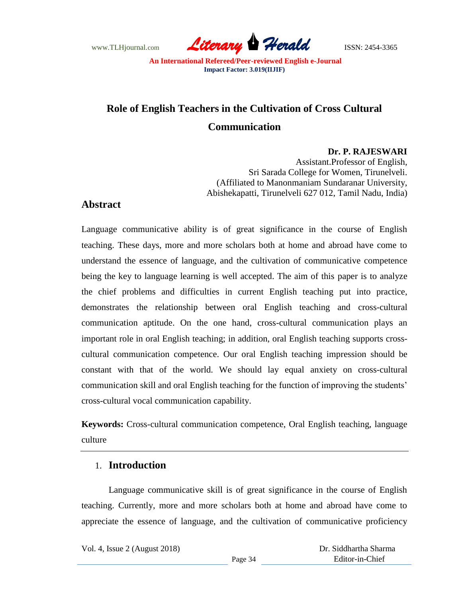www.TLHjournal.com *Literary Herald*ISSN: 2454-3365

# **Role of English Teachers in the Cultivation of Cross Cultural Communication**

**Dr. P. RAJESWARI**

Assistant.Professor of English, Sri Sarada College for Women, Tirunelveli. (Affiliated to Manonmaniam Sundaranar University, Abishekapatti, Tirunelveli 627 012, Tamil Nadu, India)

### **Abstract**

Language communicative ability is of great significance in the course of English teaching. These days, more and more scholars both at home and abroad have come to understand the essence of language, and the cultivation of communicative competence being the key to language learning is well accepted. The aim of this paper is to analyze the chief problems and difficulties in current English teaching put into practice, demonstrates the relationship between oral English teaching and cross-cultural communication aptitude. On the one hand, cross-cultural communication plays an important role in oral English teaching; in addition, oral English teaching supports crosscultural communication competence. Our oral English teaching impression should be constant with that of the world. We should lay equal anxiety on cross-cultural communication skill and oral English teaching for the function of improving the students' cross-cultural vocal communication capability.

**Keywords:** Cross-cultural communication competence, Oral English teaching, language culture

### 1. **Introduction**

Language communicative skill is of great significance in the course of English teaching. Currently, more and more scholars both at home and abroad have come to appreciate the essence of language, and the cultivation of communicative proficiency

Vol. 4, Issue 2 (August 2018)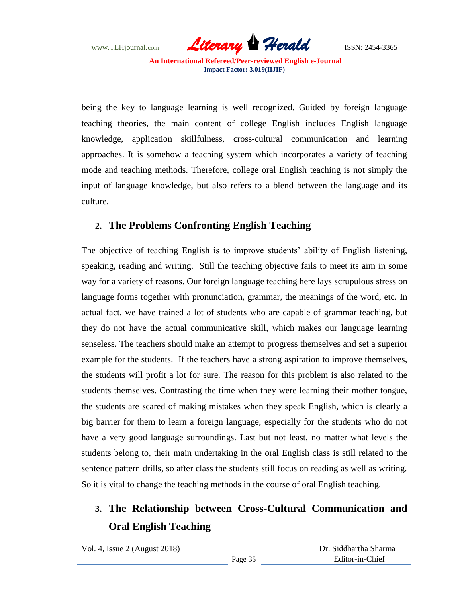www.TLHjournal.com *Literary Herald*ISSN: 2454-3365

being the key to language learning is well recognized. Guided by foreign language teaching theories, the main content of college English includes English language knowledge, application skillfulness, cross-cultural communication and learning approaches. It is somehow a teaching system which incorporates a variety of teaching mode and teaching methods. Therefore, college oral English teaching is not simply the input of language knowledge, but also refers to a blend between the language and its culture.

### **2. The Problems Confronting English Teaching**

The objective of teaching English is to improve students' ability of English listening, speaking, reading and writing. Still the teaching objective fails to meet its aim in some way for a variety of reasons. Our foreign language teaching here lays scrupulous stress on language forms together with pronunciation, grammar, the meanings of the word, etc. In actual fact, we have trained a lot of students who are capable of grammar teaching, but they do not have the actual communicative skill, which makes our language learning senseless. The teachers should make an attempt to progress themselves and set a superior example for the students. If the teachers have a strong aspiration to improve themselves, the students will profit a lot for sure. The reason for this problem is also related to the students themselves. Contrasting the time when they were learning their mother tongue, the students are scared of making mistakes when they speak English, which is clearly a big barrier for them to learn a foreign language, especially for the students who do not have a very good language surroundings. Last but not least, no matter what levels the students belong to, their main undertaking in the oral English class is still related to the sentence pattern drills, so after class the students still focus on reading as well as writing. So it is vital to change the teaching methods in the course of oral English teaching.

## **3. The Relationship between Cross-Cultural Communication and Oral English Teaching**

Vol. 4, Issue 2 (August 2018)

 Dr. Siddhartha Sharma Editor-in-Chief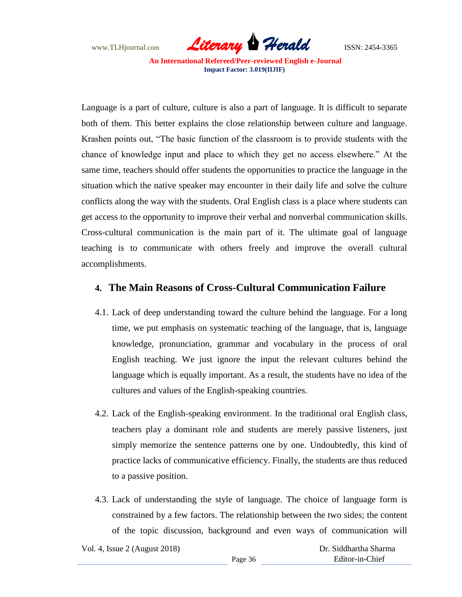www.TLHjournal.com *Literary Herald*ISSN: 2454-3365

Language is a part of culture, culture is also a part of language. It is difficult to separate both of them. This better explains the close relationship between culture and language. Krashen points out, "The basic function of the classroom is to provide students with the chance of knowledge input and place to which they get no access elsewhere." At the same time, teachers should offer students the opportunities to practice the language in the situation which the native speaker may encounter in their daily life and solve the culture conflicts along the way with the students. Oral English class is a place where students can get access to the opportunity to improve their verbal and nonverbal communication skills. Cross-cultural communication is the main part of it. The ultimate goal of language teaching is to communicate with others freely and improve the overall cultural accomplishments.

### **4. The Main Reasons of Cross-Cultural Communication Failure**

- 4.1. Lack of deep understanding toward the culture behind the language. For a long time, we put emphasis on systematic teaching of the language, that is, language knowledge, pronunciation, grammar and vocabulary in the process of oral English teaching. We just ignore the input the relevant cultures behind the language which is equally important. As a result, the students have no idea of the cultures and values of the English-speaking countries.
- 4.2. Lack of the English-speaking environment. In the traditional oral English class, teachers play a dominant role and students are merely passive listeners, just simply memorize the sentence patterns one by one. Undoubtedly, this kind of practice lacks of communicative efficiency. Finally, the students are thus reduced to a passive position.
- 4.3. Lack of understanding the style of language. The choice of language form is constrained by a few factors. The relationship between the two sides; the content of the topic discussion, background and even ways of communication will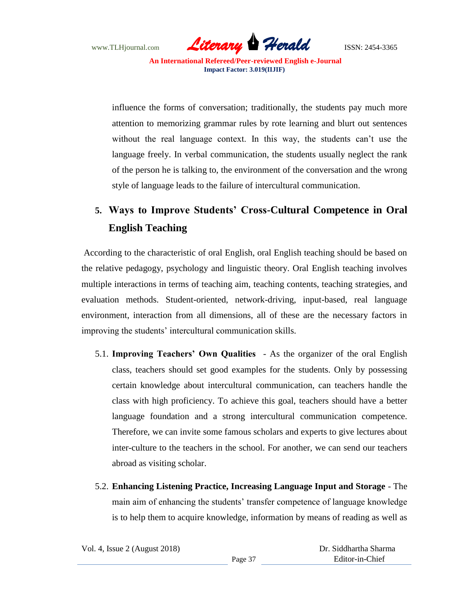www.TLHjournal.com *Literary Herald*ISSN: 2454-3365

influence the forms of conversation; traditionally, the students pay much more attention to memorizing grammar rules by rote learning and blurt out sentences without the real language context. In this way, the students can't use the language freely. In verbal communication, the students usually neglect the rank of the person he is talking to, the environment of the conversation and the wrong style of language leads to the failure of intercultural communication.

## **5. Ways to Improve Students' Cross-Cultural Competence in Oral English Teaching**

According to the characteristic of oral English, oral English teaching should be based on the relative pedagogy, psychology and linguistic theory. Oral English teaching involves multiple interactions in terms of teaching aim, teaching contents, teaching strategies, and evaluation methods. Student-oriented, network-driving, input-based, real language environment, interaction from all dimensions, all of these are the necessary factors in improving the students' intercultural communication skills.

- 5.1. **Improving Teachers' Own Qualities** As the organizer of the oral English class, teachers should set good examples for the students. Only by possessing certain knowledge about intercultural communication, can teachers handle the class with high proficiency. To achieve this goal, teachers should have a better language foundation and a strong intercultural communication competence. Therefore, we can invite some famous scholars and experts to give lectures about inter-culture to the teachers in the school. For another, we can send our teachers abroad as visiting scholar.
- 5.2. **Enhancing Listening Practice, Increasing Language Input and Storage** The main aim of enhancing the students' transfer competence of language knowledge is to help them to acquire knowledge, information by means of reading as well as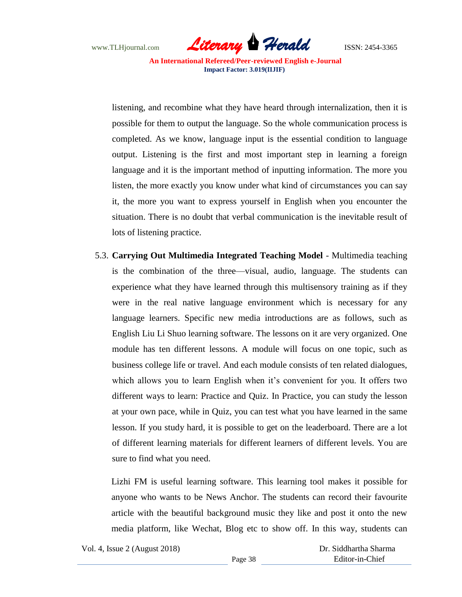www.TLHjournal.com **Literary Herald** ISSN: 2454-3365

listening, and recombine what they have heard through internalization, then it is possible for them to output the language. So the whole communication process is completed. As we know, language input is the essential condition to language output. Listening is the first and most important step in learning a foreign language and it is the important method of inputting information. The more you listen, the more exactly you know under what kind of circumstances you can say it, the more you want to express yourself in English when you encounter the situation. There is no doubt that verbal communication is the inevitable result of lots of listening practice.

5.3. **Carrying Out Multimedia Integrated Teaching Model** - Multimedia teaching is the combination of the three—visual, audio, language. The students can experience what they have learned through this multisensory training as if they were in the real native language environment which is necessary for any language learners. Specific new media introductions are as follows, such as English Liu Li Shuo learning software. The lessons on it are very organized. One module has ten different lessons. A module will focus on one topic, such as business college life or travel. And each module consists of ten related dialogues, which allows you to learn English when it's convenient for you. It offers two different ways to learn: Practice and Quiz. In Practice, you can study the lesson at your own pace, while in Quiz, you can test what you have learned in the same lesson. If you study hard, it is possible to get on the leaderboard. There are a lot of different learning materials for different learners of different levels. You are sure to find what you need.

Lizhi FM is useful learning software. This learning tool makes it possible for anyone who wants to be News Anchor. The students can record their favourite article with the beautiful background music they like and post it onto the new media platform, like Wechat, Blog etc to show off. In this way, students can

Vol. 4, Issue 2 (August 2018)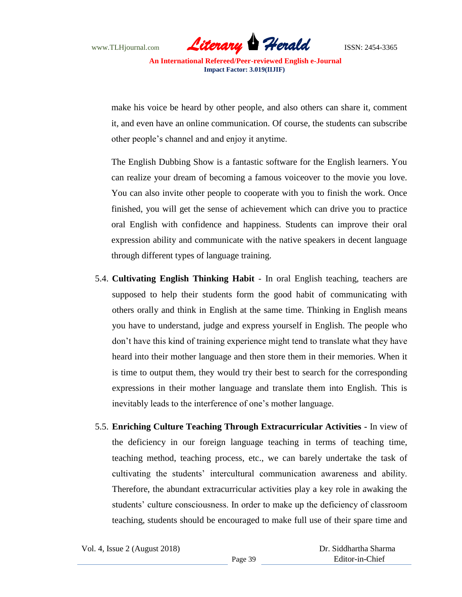www.TLHjournal.com *Literary Herald*ISSN: 2454-3365

make his voice be heard by other people, and also others can share it, comment it, and even have an online communication. Of course, the students can subscribe other people's channel and and enjoy it anytime.

The English Dubbing Show is a fantastic software for the English learners. You can realize your dream of becoming a famous voiceover to the movie you love. You can also invite other people to cooperate with you to finish the work. Once finished, you will get the sense of achievement which can drive you to practice oral English with confidence and happiness. Students can improve their oral expression ability and communicate with the native speakers in decent language through different types of language training.

- 5.4. **Cultivating English Thinking Habit** In oral English teaching, teachers are supposed to help their students form the good habit of communicating with others orally and think in English at the same time. Thinking in English means you have to understand, judge and express yourself in English. The people who don't have this kind of training experience might tend to translate what they have heard into their mother language and then store them in their memories. When it is time to output them, they would try their best to search for the corresponding expressions in their mother language and translate them into English. This is inevitably leads to the interference of one's mother language.
- 5.5. **Enriching Culture Teaching Through Extracurricular Activities -** In view of the deficiency in our foreign language teaching in terms of teaching time, teaching method, teaching process, etc., we can barely undertake the task of cultivating the students' intercultural communication awareness and ability. Therefore, the abundant extracurricular activities play a key role in awaking the students' culture consciousness. In order to make up the deficiency of classroom teaching, students should be encouraged to make full use of their spare time and

Vol. 4, Issue 2 (August 2018)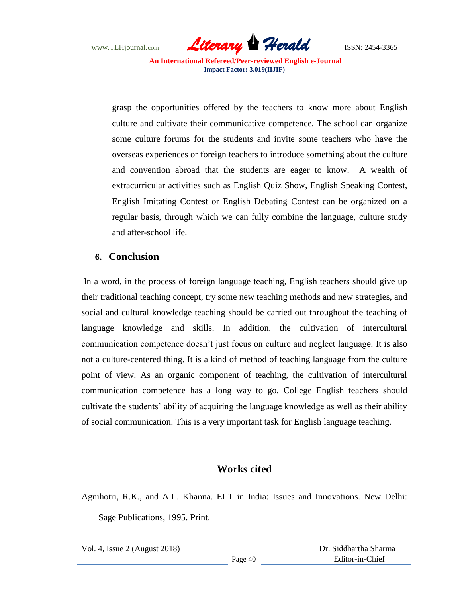www.TLHjournal.com *Literary Herald*ISSN: 2454-3365

grasp the opportunities offered by the teachers to know more about English culture and cultivate their communicative competence. The school can organize some culture forums for the students and invite some teachers who have the overseas experiences or foreign teachers to introduce something about the culture and convention abroad that the students are eager to know. A wealth of extracurricular activities such as English Quiz Show, English Speaking Contest, English Imitating Contest or English Debating Contest can be organized on a regular basis, through which we can fully combine the language, culture study and after-school life.

#### **6. Conclusion**

In a word, in the process of foreign language teaching, English teachers should give up their traditional teaching concept, try some new teaching methods and new strategies, and social and cultural knowledge teaching should be carried out throughout the teaching of language knowledge and skills. In addition, the cultivation of intercultural communication competence doesn't just focus on culture and neglect language. It is also not a culture-centered thing. It is a kind of method of teaching language from the culture point of view. As an organic component of teaching, the cultivation of intercultural communication competence has a long way to go. College English teachers should cultivate the students' ability of acquiring the language knowledge as well as their ability of social communication. This is a very important task for English language teaching.

### **Works cited**

Agnihotri, R.K., and A.L. Khanna. ELT in India: Issues and Innovations. New Delhi: Sage Publications, 1995. Print.

Vol. 4, Issue 2 (August 2018)

 Dr. Siddhartha Sharma Editor-in-Chief